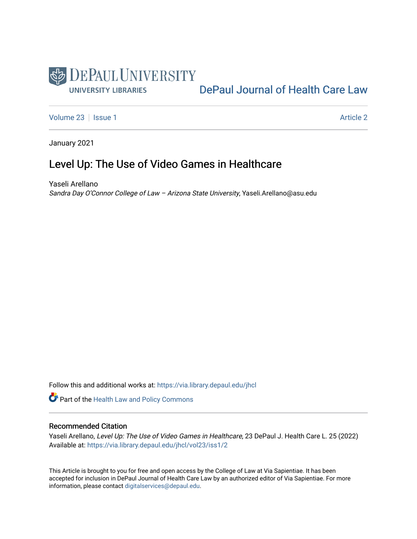

[DePaul Journal of Health Care Law](https://via.library.depaul.edu/jhcl) 

[Volume 23](https://via.library.depaul.edu/jhcl/vol23) | [Issue 1](https://via.library.depaul.edu/jhcl/vol23/iss1) [Article 2](https://via.library.depaul.edu/jhcl/vol23/iss1/2) Article 2

January 2021

# Level Up: The Use of Video Games in Healthcare

Yaseli Arellano Sandra Day O'Connor College of Law – Arizona State University, Yaseli.Arellano@asu.edu

Follow this and additional works at: [https://via.library.depaul.edu/jhcl](https://via.library.depaul.edu/jhcl?utm_source=via.library.depaul.edu%2Fjhcl%2Fvol23%2Fiss1%2F2&utm_medium=PDF&utm_campaign=PDFCoverPages) 

Part of the [Health Law and Policy Commons](http://network.bepress.com/hgg/discipline/901?utm_source=via.library.depaul.edu%2Fjhcl%2Fvol23%2Fiss1%2F2&utm_medium=PDF&utm_campaign=PDFCoverPages) 

# Recommended Citation

Yaseli Arellano, Level Up: The Use of Video Games in Healthcare, 23 DePaul J. Health Care L. 25 (2022) Available at: [https://via.library.depaul.edu/jhcl/vol23/iss1/2](https://via.library.depaul.edu/jhcl/vol23/iss1/2?utm_source=via.library.depaul.edu%2Fjhcl%2Fvol23%2Fiss1%2F2&utm_medium=PDF&utm_campaign=PDFCoverPages)

This Article is brought to you for free and open access by the College of Law at Via Sapientiae. It has been accepted for inclusion in DePaul Journal of Health Care Law by an authorized editor of Via Sapientiae. For more information, please contact [digitalservices@depaul.edu](mailto:digitalservices@depaul.edu).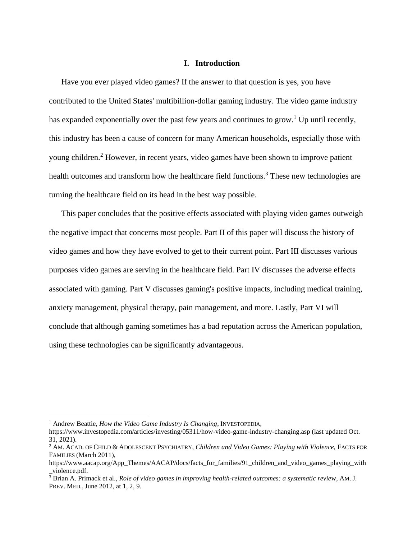## **I. Introduction**

Have you ever played video games? If the answer to that question is yes, you have contributed to the United States' multibillion-dollar gaming industry. The video game industry has expanded exponentially over the past few years and continues to grow.<sup>1</sup> Up until recently, this industry has been a cause of concern for many American households, especially those with young children.<sup>2</sup> However, in recent years, video games have been shown to improve patient health outcomes and transform how the healthcare field functions.<sup>3</sup> These new technologies are turning the healthcare field on its head in the best way possible.

This paper concludes that the positive effects associated with playing video games outweigh the negative impact that concerns most people. Part II of this paper will discuss the history of video games and how they have evolved to get to their current point. Part III discusses various purposes video games are serving in the healthcare field. Part IV discusses the adverse effects associated with gaming. Part V discusses gaming's positive impacts, including medical training, anxiety management, physical therapy, pain management, and more. Lastly, Part VI will conclude that although gaming sometimes has a bad reputation across the American population, using these technologies can be significantly advantageous.

<sup>&</sup>lt;sup>1</sup> Andrew Beattie, *How the Video Game Industry Is Changing*, INVESTOPEDIA,

https://www.investopedia.com/articles/investing/05311/how-video-game-industry-changing.asp (last updated Oct. 31, 2021).

<sup>&</sup>lt;sup>2</sup> AM. ACAD. OF CHILD & ADOLESCENT PSYCHIATRY, *Children and Video Games: Playing with Violence*, FACTS FOR FAMILIES (March 2011),

https://www.aacap.org/App\_Themes/AACAP/docs/facts\_for\_families/91\_children\_and\_video\_games\_playing\_with \_violence.pdf.

<sup>3</sup> Brian A. Primack et al., *Role of video games in improving health-related outcomes: a systematic revie*w, AM. J. PREV. MED., June 2012, at 1, 2, 9.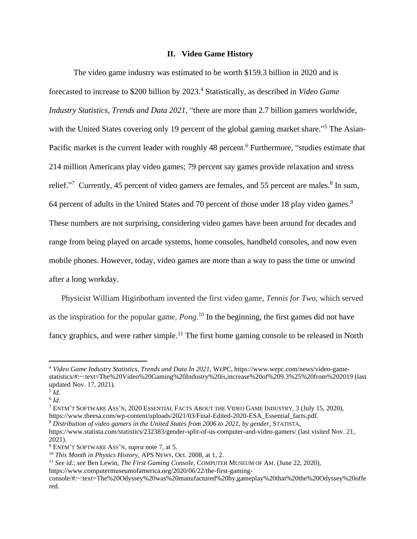### **II. Video Game History**

The video game industry was estimated to be worth \$159.3 billion in 2020 and is forecasted to increase to \$200 billion by 2023.<sup>4</sup> Statistically, as described in *Video Game Industry Statistics, Trends and Data 2021*, "there are more than 2.7 billion gamers worldwide, with the United States covering only 19 percent of the global gaming market share."<sup>5</sup> The Asian-Pacific market is the current leader with roughly 48 percent.<sup>6</sup> Furthermore, "studies estimate that 214 million Americans play video games; 79 percent say games provide relaxation and stress relief."<sup>7</sup> Currently, 45 percent of video gamers are females, and 55 percent are males.<sup>8</sup> In sum, 64 percent of adults in the United States and 70 percent of those under 18 play video games.<sup>9</sup> These numbers are not surprising, considering video games have been around for decades and range from being played on arcade systems, home consoles, handheld consoles, and now even mobile phones. However, today, video games are more than a way to pass the time or unwind after a long workday.

Physicist William Higinbotham invented the first video game, *Tennis for Two,* which served as the inspiration for the popular game, *Pong*. <sup>10</sup> In the beginning, the first games did not have fancy graphics, and were rather simple.<sup>11</sup> The first home gaming console to be released in North

<sup>4</sup> *Video Game Industry Statistics*, *Trends and Data In 2021,* WEPC, https://www.wepc.com/news/video-gamestatistics/#:~:text=The%20Video%20Gaming%20Industry%20is,increase%20of%209.3%25%20from%202019 (last updated Nov. 17, 2021).

<sup>5</sup> *Id.* 

<sup>6</sup> *Id.*

<sup>7</sup> ENTM'T SOFTWARE ASS'N, 2020 ESSENTIAL FACTS ABOUT THE VIDEO GAME INDUSTRY, 3 (July 15, 2020), https://www.theesa.com/wp-content/uploads/2021/03/Final-Edited-2020-ESA\_Essential\_facts.pdf.

<sup>8</sup> *Distribution of video gamers in the United States from 2006 to 2021, by gender*, STATISTA,

https://www.statista.com/statistics/232383/gender-split-of-us-computer-and-video-gamers/ (last visited Nov. 21, 2021).

<sup>9</sup> ENTM'T SOFTWARE ASS'N, *supra* note 7, at 5.

<sup>10</sup> *This Month in Physics History,* APS NEWS, Oct. 2008, at 1, 2.

<sup>11</sup> *See id.*; *see* Ben Lewin, *The First Gaming Console,* COMPUTER MUSEUM OF AM. (June 22, 2020),

https://www.computermuseumofamerica.org/2020/06/22/the-first-gaming-

console/#:~:text=The%20Odyssey%20was%20manufactured%20by,gameplay%20that%20the%20Odyssey%20offe red.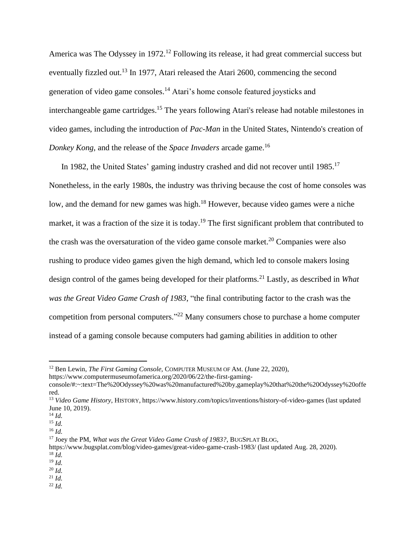America was The Odyssey in 1972.<sup>12</sup> Following its release, it had great commercial success but eventually fizzled out.<sup>13</sup> In 1977, Atari released the Atari 2600, commencing the second generation of video game consoles.<sup>14</sup> Atari's home console featured joysticks and interchangeable game cartridges. <sup>15</sup> The years following Atari's release had notable milestones in video games, including the introduction of *Pac-Man* in the United States, Nintendo's creation of *Donkey Kong*, and the release of the *Space Invaders* arcade game. 16

In 1982, the United States' gaming industry crashed and did not recover until 1985.<sup>17</sup> Nonetheless, in the early 1980s, the industry was thriving because the cost of home consoles was low, and the demand for new games was high.<sup>18</sup> However, because video games were a niche market, it was a fraction of the size it is today.<sup>19</sup> The first significant problem that contributed to the crash was the oversaturation of the video game console market.<sup>20</sup> Companies were also rushing to produce video games given the high demand, which led to console makers losing design control of the games being developed for their platforms.<sup>21</sup> Lastly, as described in *What was the Great Video Game Crash of 1983*, "the final contributing factor to the crash was the competition from personal computers." <sup>22</sup> Many consumers chose to purchase a home computer instead of a gaming console because computers had gaming abilities in addition to other

<sup>12</sup> Ben Lewin, *The First Gaming Console,* COMPUTER MUSEUM OF AM. (June 22, 2020), https://www.computermuseumofamerica.org/2020/06/22/the-first-gaming-

console/#:~:text=The%20Odyssey%20was%20manufactured%20by,gameplay%20that%20the%20Odyssey%20offe red.

<sup>13</sup> *Video Game History*, HISTORY, https://www.history.com/topics/inventions/history-of-video-games (last updated June 10, 2019).

<sup>14</sup> *Id.*

<sup>15</sup> *Id.*

<sup>16</sup> *Id.* 

<sup>17</sup> Joey the PM, *What was the Great Video Game Crash of 1983?*, BUGSPLAT BLOG,

https://www.bugsplat.com/blog/video-games/great-video-game-crash-1983/ (last updated Aug. 28, 2020). <sup>18</sup> *Id.*

<sup>19</sup> *Id.*

<sup>20</sup> *Id.*

<sup>21</sup> *Id.*

 $^{22}$  *Id.*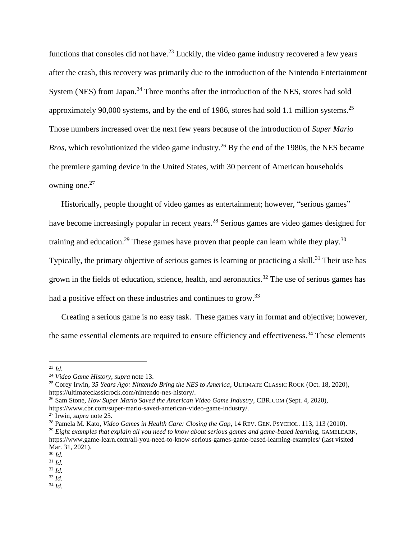functions that consoles did not have.<sup>23</sup> Luckily, the video game industry recovered a few years after the crash, this recovery was primarily due to the introduction of the Nintendo Entertainment System (NES) from Japan.<sup>24</sup> Three months after the introduction of the NES, stores had sold approximately 90,000 systems, and by the end of 1986, stores had sold 1.1 million systems.<sup>25</sup> Those numbers increased over the next few years because of the introduction of *Super Mario Bros*, which revolutionized the video game industry.<sup>26</sup> By the end of the 1980s, the NES became the premiere gaming device in the United States, with 30 percent of American households owning one.<sup>27</sup>

Historically, people thought of video games as entertainment; however, "serious games" have become increasingly popular in recent years.<sup>28</sup> Serious games are video games designed for training and education.<sup>29</sup> These games have proven that people can learn while they play.<sup>30</sup> Typically, the primary objective of serious games is learning or practicing a skill.<sup>31</sup> Their use has grown in the fields of education, science, health, and aeronautics.<sup>32</sup> The use of serious games has had a positive effect on these industries and continues to grow.<sup>33</sup>

Creating a serious game is no easy task. These games vary in format and objective; however, the same essential elements are required to ensure efficiency and effectiveness.<sup>34</sup> These elements

<sup>23</sup> *Id.*

<sup>24</sup> *Video Game History*, *supra* note 13.

<sup>25</sup> Corey Irwin, *35 Years Ago: Nintendo Bring the NES to America*, ULTIMATE CLASSIC ROCK (Oct. 18, 2020), https://ultimateclassicrock.com/nintendo-nes-history/.

<sup>26</sup> Sam Stone, *How Super Mario Saved the American Video Game Industry*, CBR.COM (Sept. 4, 2020),

https://www.cbr.com/super-mario-saved-american-video-game-industry/.

<sup>27</sup> Irwin, *supra* note 25.

<sup>28</sup> Pamela M. Kato, *Video Games in Health Care: Closing the Gap*, 14 REV. GEN. PSYCHOL. 113, 113 (2010). <sup>29</sup> Eight examples that explain all you need to know about serious games and game-based learning, GAMELEARN, https://www.game-learn.com/all-you-need-to-know-serious-games-game-based-learning-examples/ (last visited Mar. 31, 2021).

<sup>30</sup> *Id.*

<sup>31</sup> *Id.*

<sup>32</sup> *Id.*

<sup>33</sup> *Id.*

<sup>34</sup> *Id.*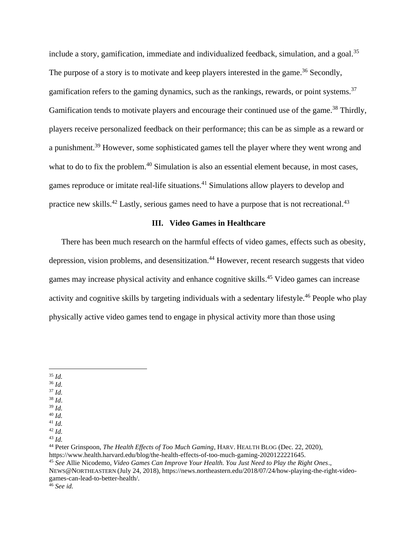include a story, gamification, immediate and individualized feedback, simulation, and a goal.<sup>35</sup> The purpose of a story is to motivate and keep players interested in the game.<sup>36</sup> Secondly, gamification refers to the gaming dynamics, such as the rankings, rewards, or point systems.<sup>37</sup> Gamification tends to motivate players and encourage their continued use of the game.<sup>38</sup> Thirdly, players receive personalized feedback on their performance; this can be as simple as a reward or a punishment.<sup>39</sup> However, some sophisticated games tell the player where they went wrong and what to do to fix the problem.<sup>40</sup> Simulation is also an essential element because, in most cases, games reproduce or imitate real-life situations.<sup>41</sup> Simulations allow players to develop and practice new skills.<sup>42</sup> Lastly, serious games need to have a purpose that is not recreational.<sup>43</sup>

## **III. Video Games in Healthcare**

There has been much research on the harmful effects of video games, effects such as obesity, depression, vision problems, and desensitization.<sup>44</sup> However, recent research suggests that video games may increase physical activity and enhance cognitive skills. <sup>45</sup> Video games can increase activity and cognitive skills by targeting individuals with a sedentary lifestyle.<sup>46</sup> People who play physically active video games tend to engage in physical activity more than those using

- <sup>36</sup> *Id.*
- $37$  *Id.*
- <sup>38</sup> *Id*. <sup>39</sup> *Id.*
- <sup>40</sup> *Id.*
- <sup>41</sup> *Id.*

<sup>44</sup> Peter Grinspoon, *The Health Effects of Too Much Gaming*, HARV. HEALTH BLOG (Dec. 22, 2020),

https://www.health.harvard.edu/blog/the-health-effects-of-too-much-gaming-2020122221645.

<sup>45</sup> *See* Allie Nicodemo, *Video Games Can Improve Your Health. You Just Need to Play the Right Ones*., NEWS@NORTHEASTERN (July 24, 2018), https://news.northeastern.edu/2018/07/24/how-playing-the-right-video-

games-can-lead-to-better-health/.

<sup>35</sup> *Id.*

<sup>42</sup> *Id.*

 $43$  *Id.* 

<sup>46</sup> *See id.*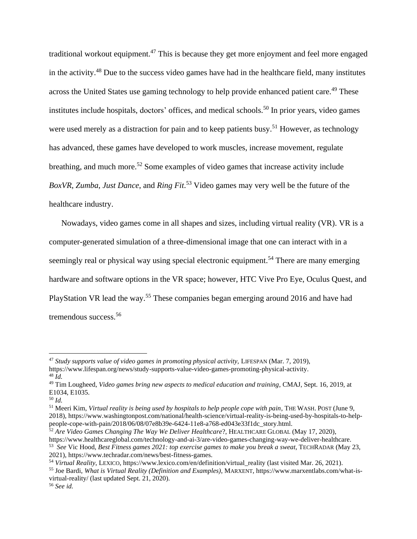traditional workout equipment.<sup>47</sup> This is because they get more enjoyment and feel more engaged in the activity.<sup>48</sup> Due to the success video games have had in the healthcare field, many institutes across the United States use gaming technology to help provide enhanced patient care.<sup>49</sup> These institutes include hospitals, doctors' offices, and medical schools.<sup>50</sup> In prior years, video games were used merely as a distraction for pain and to keep patients busy.<sup>51</sup> However, as technology has advanced, these games have developed to work muscles, increase movement, regulate breathing, and much more.<sup>52</sup> Some examples of video games that increase activity include *BoxVR*, *Zumba*, *Just Dance*, and *Ring Fit*. <sup>53</sup> Video games may very well be the future of the healthcare industry.

Nowadays, video games come in all shapes and sizes, including virtual reality (VR). VR is a computer-generated simulation of a three-dimensional image that one can interact with in a seemingly real or physical way using special electronic equipment.<sup>54</sup> There are many emerging hardware and software options in the VR space; however, HTC Vive Pro Eye, Oculus Quest, and PlayStation VR lead the way.<sup>55</sup> These companies began emerging around 2016 and have had tremendous success.<sup>56</sup>

<sup>&</sup>lt;sup>47</sup> Study supports value of video games in promoting physical activity, LIFESPAN (Mar. 7, 2019), https://www.lifespan.org/news/study-supports-value-video-games-promoting-physical-activity.  $48\bar{I}$ 

<sup>49</sup> Tim Lougheed, *Video games bring new aspects to medical education and training*, CMAJ, Sept. 16, 2019, at E1034, E1035.

<sup>50</sup> *Id.*

<sup>51</sup> Meeri Kim, *Virtual reality is being used by hospitals to help people cope with pain*, THE WASH. POST (June 9, 2018), https://www.washingtonpost.com/national/health-science/virtual-reality-is-being-used-by-hospitals-to-helppeople-cope-with-pain/2018/06/08/07e8b39e-6424-11e8-a768-ed043e33f1dc\_story.html.

<sup>52</sup> *Are Video Games Changing The Way We Deliver Healthcare*?, HEALTHCARE GLOBAL (May 17, 2020), https://www.healthcareglobal.com/technology-and-ai-3/are-video-games-changing-way-we-deliver-healthcare. 53 *See* Vic Hood, *Best Fitness games 2021: top exercise games to make you break a sweat*, TECHRADAR (May 23,

<sup>2021),</sup> https://www.techradar.com/news/best-fitness-games.

<sup>54</sup> *Virtual Reality*, LEXICO, https://www.lexico.com/en/definition/virtual\_reality (last visited Mar. 26, 2021).

<sup>55</sup> Joe Bardi, *What is Virtual Reality (Definition and Examples)*, MARXENT, https://www.marxentlabs.com/what-isvirtual-reality/ (last updated Sept. 21, 2020).

<sup>56</sup> *See id.*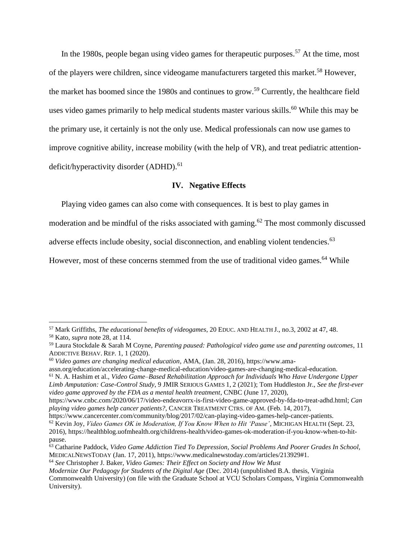In the 1980s, people began using video games for therapeutic purposes.<sup>57</sup> At the time, most of the players were children, since videogame manufacturers targeted this market.<sup>58</sup> However, the market has boomed since the 1980s and continues to grow.<sup>59</sup> Currently, the healthcare field uses video games primarily to help medical students master various skills.<sup>60</sup> While this may be the primary use, it certainly is not the only use. Medical professionals can now use games to improve cognitive ability, increase mobility (with the help of VR), and treat pediatric attentiondeficit/hyperactivity disorder (ADHD).<sup>61</sup>

#### **IV. Negative Effects**

Playing video games can also come with consequences. It is best to play games in

moderation and be mindful of the risks associated with gaming.<sup>62</sup> The most commonly discussed

adverse effects include obesity, social disconnection, and enabling violent tendencies.<sup>63</sup>

However, most of these concerns stemmed from the use of traditional video games.<sup>64</sup> While

<sup>61</sup> N. A. Hashim et al., *Video Game–Based Rehabilitation Approach for Individuals Who Have Undergone Upper* 

<sup>57</sup> Mark Griffiths, *The educational benefits of videogames*, 20 EDUC. AND HEALTH J., no.3, 2002 at 47, 48.

<sup>58</sup> Kato, *supra* note 28, at 114.

<sup>59</sup> Laura Stockdale & Sarah M Coyne, *Parenting paused: Pathological video game use and parenting outcomes*, 11 ADDICTIVE BEHAV. REP. 1, 1 (2020).

<sup>60</sup> *Video games are changing medical education*, AMA, (Jan. 28, 2016), https://www.ama-

assn.org/education/accelerating-change-medical-education/video-games-are-changing-medical-education.

*Limb Amputation: Case-Control Study*, 9 JMIR SERIOUS GAMES 1, 2 (2021); Tom Huddleston Jr., *See the first-ever video game approved by the FDA as a mental health treatment*, CNBC (June 17, 2020),

https://www.cnbc.com/2020/06/17/video-endeavorrx-is-first-video-game-approved-by-fda-to-treat-adhd.html; *Can playing video games help cancer patients?*, CANCER TREATMENT CTRS. OF AM. (Feb. 14, 2017),

https://www.cancercenter.com/community/blog/2017/02/can-playing-video-games-help-cancer-patients. <sup>62</sup> Kevin Joy, *Video Games OK in Moderation, If You Know When to Hit 'Pause'*, MICHIGAN HEALTH (Sept. 23, 2016), https://healthblog.uofmhealth.org/childrens-health/video-games-ok-moderation-if-you-know-when-to-hitpause.

<sup>63</sup> Catharine Paddock, *Video Game Addiction Tied To Depression, Social Problems And Poorer Grades In School,* MEDICALNEWSTODAY (Jan. 17, 2011), https://www.medicalnewstoday.com/articles/213929#1.

<sup>64</sup> *See* Christopher J. Baker, *Video Games: Their Effect on Society and How We Must*

*Modernize Our Pedagogy for Students of the Digital Age* (Dec. 2014) (unpublished B.A. thesis, Virginia Commonwealth University) (on file with the Graduate School at VCU Scholars Compass, Virginia Commonwealth University).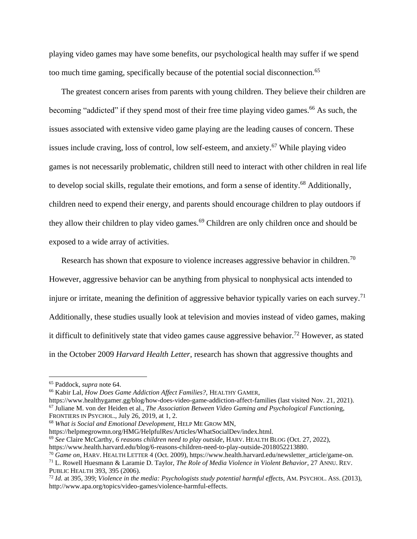playing video games may have some benefits, our psychological health may suffer if we spend too much time gaming, specifically because of the potential social disconnection.<sup>65</sup>

The greatest concern arises from parents with young children. They believe their children are becoming "addicted" if they spend most of their free time playing video games.<sup>66</sup> As such, the issues associated with extensive video game playing are the leading causes of concern. These issues include craving, loss of control, low self-esteem, and anxiety.<sup>67</sup> While playing video games is not necessarily problematic, children still need to interact with other children in real life to develop social skills, regulate their emotions, and form a sense of identity.<sup>68</sup> Additionally, children need to expend their energy, and parents should encourage children to play outdoors if they allow their children to play video games.<sup>69</sup> Children are only children once and should be exposed to a wide array of activities.

Research has shown that exposure to violence increases aggressive behavior in children.<sup>70</sup> However, aggressive behavior can be anything from physical to nonphysical acts intended to injure or irritate, meaning the definition of aggressive behavior typically varies on each survey.<sup>71</sup> Additionally, these studies usually look at television and movies instead of video games, making it difficult to definitively state that video games cause aggressive behavior.<sup>72</sup> However, as stated in the October 2009 *Harvard Health Letter*, research has shown that aggressive thoughts and

https://www.healthygamer.gg/blog/how-does-video-game-addiction-affect-families (last visited Nov. 21, 2021). <sup>67</sup> Juliane M. von der Heiden et al., *The Association Between Video Gaming and Psychological Functionin*g, FRONTIERS IN PSYCHOL., July 26, 2019, at 1, 2.

https://helpmegrowmn.org/HMG/HelpfulRes/Articles/WhatSocialDev/index.html.

<sup>65</sup> Paddock, *supra* note 64.

<sup>66</sup> Kabir Lal, *How Does Game Addiction Affect Families?,* HEALTHY GAMER,

<sup>68</sup> *What is Social and Emotional Development,* HELP ME GROW MN,

<sup>69</sup> *See* Claire McCarthy, *6 reasons children need to play outside*, HARV. HEALTH BLOG (Oct. 27, 2022),

https://www.health.harvard.edu/blog/6-reasons-children-need-to-play-outside-2018052213880.

<sup>70</sup> *Game on*, HARV. HEALTH LETTER 4 (Oct. 2009), https://www.health.harvard.edu/newsletter\_article/game-on.

<sup>71</sup> L. Rowell Huesmann & Laramie D. Taylor, *The Role of Media Violence in Violent Behavior*, 27 ANNU. REV. PUBLIC HEALTH 393, 395 (2006).

<sup>72</sup> *Id.* at 395, 399; *Violence in the media: Psychologists study potential harmful effects*, AM. PSYCHOL. ASS. (2013), http://www.apa.org/topics/video-games/violence-harmful-effects.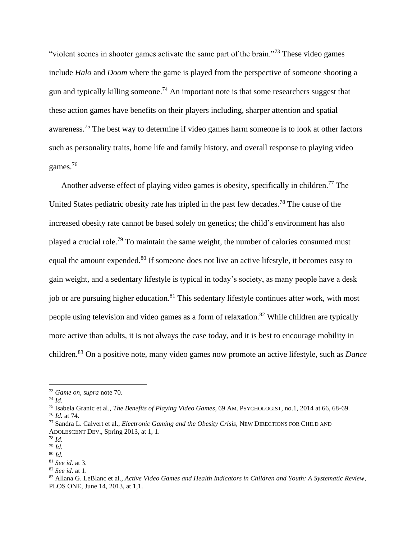"violent scenes in shooter games activate the same part of the brain."<sup>73</sup> These video games include *Halo* and *Doom* where the game is played from the perspective of someone shooting a gun and typically killing someone.<sup>74</sup> An important note is that some researchers suggest that these action games have benefits on their players including, sharper attention and spatial awareness.<sup>75</sup> The best way to determine if video games harm someone is to look at other factors such as personality traits, home life and family history, and overall response to playing video games.<sup>76</sup>

Another adverse effect of playing video games is obesity, specifically in children.<sup>77</sup> The United States pediatric obesity rate has tripled in the past few decades.<sup>78</sup> The cause of the increased obesity rate cannot be based solely on genetics; the child's environment has also played a crucial role.<sup>79</sup> To maintain the same weight, the number of calories consumed must equal the amount expended.<sup>80</sup> If someone does not live an active lifestyle, it becomes easy to gain weight, and a sedentary lifestyle is typical in today's society, as many people have a desk job or are pursuing higher education.<sup>81</sup> This sedentary lifestyle continues after work, with most people using television and video games as a form of relaxation.<sup>82</sup> While children are typically more active than adults, it is not always the case today, and it is best to encourage mobility in children. <sup>83</sup> On a positive note, many video games now promote an active lifestyle, such as *Dance* 

<sup>73</sup> *Game on*, s*upra* note 70.

<sup>74</sup> *Id*.

<sup>75</sup> Isabela Granic et al., *The Benefits of Playing Video Games*, 69 AM. PSYCHOLOGIST, no.1, 2014 at 66, 68-69. <sup>76</sup> *Id.* at 74.

<sup>77</sup> Sandra L. Calvert et al., *Electronic Gaming and the Obesity Crisis*, NEW DIRECTIONS FOR CHILD AND ADOLESCENT DEV., Spring 2013, at 1, 1.

<sup>78</sup> *Id*.

<sup>79</sup> *Id.* 

<sup>80</sup> *Id.* 

<sup>81</sup> *See id.* at 3.

<sup>82</sup> *See id.* at 1.

<sup>83</sup> Allana G. LeBlanc et al., *Active Video Games and Health Indicators in Children and Youth: A Systematic Review*, PLOS ONE, June 14, 2013, at 1,1.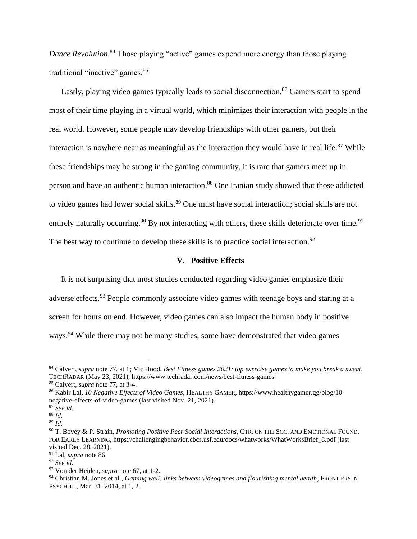*Dance Revolution*. <sup>84</sup> Those playing "active" games expend more energy than those playing traditional "inactive" games.<sup>85</sup>

Lastly, playing video games typically leads to social disconnection.<sup>86</sup> Gamers start to spend most of their time playing in a virtual world, which minimizes their interaction with people in the real world. However, some people may develop friendships with other gamers, but their interaction is nowhere near as meaningful as the interaction they would have in real life. $87$  While these friendships may be strong in the gaming community, it is rare that gamers meet up in person and have an authentic human interaction.<sup>88</sup> One Iranian study showed that those addicted to video games had lower social skills.<sup>89</sup> One must have social interaction; social skills are not entirely naturally occurring.<sup>90</sup> By not interacting with others, these skills deteriorate over time.<sup>91</sup> The best way to continue to develop these skills is to practice social interaction.<sup>92</sup>

#### **V. Positive Effects**

It is not surprising that most studies conducted regarding video games emphasize their adverse effects.<sup>93</sup> People commonly associate video games with teenage boys and staring at a screen for hours on end. However, video games can also impact the human body in positive ways.<sup>94</sup> While there may not be many studies, some have demonstrated that video games

<sup>84</sup> Calvert, *supra* note 77, at 1*;* Vic Hood, *Best Fitness games 2021: top exercise games to make you break a sweat*, TECHRADAR (May 23, 2021), https://www.techradar.com/news/best-fitness-games.

<sup>85</sup> Calvert, *supra* note 77, at 3-4.

<sup>86</sup> Kabir Lal, *10 Negative Effects of Video Games,* HEALTHY GAMER, https://www.healthygamer.gg/blog/10 negative-effects-of-video-games (last visited Nov. 21, 2021).

<sup>87</sup> *See id.* 

<sup>88</sup> *Id.*

<sup>89</sup> *Id.*

<sup>90</sup> T. Bovey & P. Strain, *Promoting Positive Peer Social Interactions*, CTR. ON THE SOC. AND EMOTIONAL FOUND. FOR EARLY LEARNING, https://challengingbehavior.cbcs.usf.edu/docs/whatworks/WhatWorksBrief\_8.pdf (last visited Dec. 28, 2021).

<sup>91</sup> Lal, *supra* note 86.

<sup>92</sup> *See id.*

<sup>93</sup> Von der Heiden, *supra* note 67, at 1-2.

<sup>94</sup> Christian M. Jones et al., *Gaming well: links between videogames and flourishing mental health*, FRONTIERS IN PSYCHOL., Mar. 31, 2014, at 1, 2.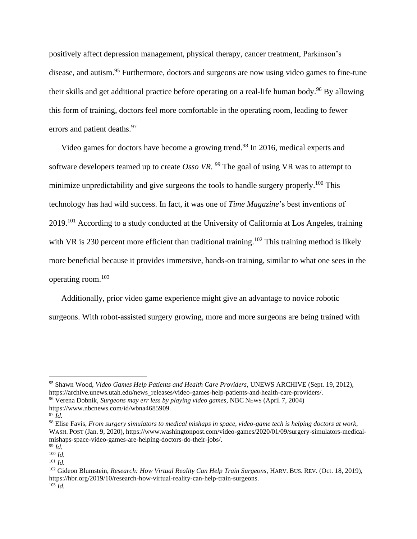positively affect depression management, physical therapy, cancer treatment, Parkinson's disease, and autism. <sup>95</sup> Furthermore, doctors and surgeons are now using video games to fine-tune their skills and get additional practice before operating on a real-life human body.<sup>96</sup> By allowing this form of training, doctors feel more comfortable in the operating room, leading to fewer errors and patient deaths.<sup>97</sup>

Video games for doctors have become a growing trend.<sup>98</sup> In 2016, medical experts and software developers teamed up to create *Osso VR*. <sup>99</sup> The goal of using VR was to attempt to minimize unpredictability and give surgeons the tools to handle surgery properly.<sup>100</sup> This technology has had wild success. In fact, it was one of *Time Magazine*'s best inventions of 2019.<sup>101</sup> According to a study conducted at the University of California at Los Angeles, training with VR is 230 percent more efficient than traditional training.<sup>102</sup> This training method is likely more beneficial because it provides immersive, hands-on training, similar to what one sees in the operating room.<sup>103</sup>

Additionally, prior video game experience might give an advantage to novice robotic surgeons. With robot-assisted surgery growing, more and more surgeons are being trained with

<sup>95</sup> Shawn Wood, *Video Games Help Patients and Health Care Providers*, UNEWS ARCHIVE (Sept. 19, 2012), https://archive.unews.utah.edu/news\_releases/video-games-help-patients-and-health-care-providers/. <sup>96</sup> Verena Dobnik, *Surgeons may err less by playing video games*, NBC NEWS (April 7, 2004)

https://www.nbcnews.com/id/wbna4685909.

 $^{97}$  *Id.* 

<sup>98</sup> Elise Favis, *From surgery simulators to medical mishaps in space, video-game tech is helping doctors at work*, WASH. POST (Jan. 9, 2020), https://www.washingtonpost.com/video-games/2020/01/09/surgery-simulators-medicalmishaps-space-video-games-are-helping-doctors-do-their-jobs/.

<sup>99</sup> *Id.* 

 $100$  *Id.* 

 $101$  *Id.* 

<sup>102</sup> Gideon Blumstein, *Research: How Virtual Reality Can Help Train Surgeons*, HARV. BUS. REV. (Oct. 18, 2019), https://hbr.org/2019/10/research-how-virtual-reality-can-help-train-surgeons. <sup>103</sup> *Id.*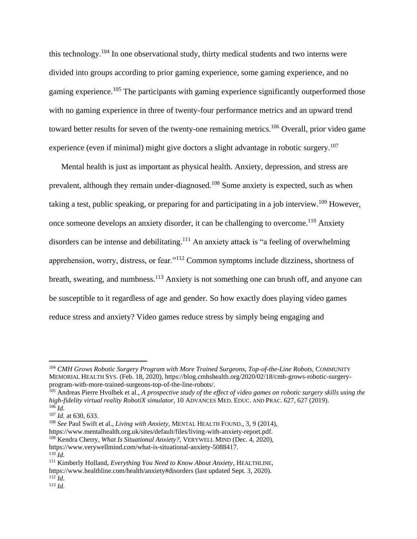this technology.<sup>104</sup> In one observational study, thirty medical students and two interns were divided into groups according to prior gaming experience, some gaming experience, and no gaming experience.<sup>105</sup> The participants with gaming experience significantly outperformed those with no gaming experience in three of twenty-four performance metrics and an upward trend toward better results for seven of the twenty-one remaining metrics.<sup>106</sup> Overall, prior video game experience (even if minimal) might give doctors a slight advantage in robotic surgery.<sup>107</sup>

Mental health is just as important as physical health. Anxiety, depression, and stress are prevalent, although they remain under-diagnosed.<sup>108</sup> Some anxiety is expected, such as when taking a test, public speaking, or preparing for and participating in a job interview.<sup>109</sup> However, once someone develops an anxiety disorder, it can be challenging to overcome.<sup>110</sup> Anxiety disorders can be intense and debilitating.<sup>111</sup> An anxiety attack is "a feeling of overwhelming apprehension, worry, distress, or fear."<sup>112</sup> Common symptoms include dizziness, shortness of breath, sweating, and numbness.<sup>113</sup> Anxiety is not something one can brush off, and anyone can be susceptible to it regardless of age and gender. So how exactly does playing video games reduce stress and anxiety? Video games reduce stress by simply being engaging and

<sup>104</sup> *CMH Grows Robotic Surgery Program with More Trained Surgeons, Top-of-the-Line Robots*, COMMUNITY MEMORIAL HEALTH SYS. (Feb. 18, 2020), https://blog.cmhshealth.org/2020/02/18/cmh-grows-robotic-surgeryprogram-with-more-trained-surgeons-top-of-the-line-robots/.

<sup>105</sup> Andreas Pierre Hvolbek et al.*, A prospective study of the effect of video games on robotic surgery skills using the high-fidelity virtual reality RobotiX simulator*, 10 ADVANCES MED. EDUC. AND PRAC. 627, 627 (2019).  $^{106}$  *Id.* 

<sup>107</sup> *Id.* at 630, 633.

<sup>108</sup> *See* Paul Swift et al.*, Living with Anxiety*, MENTAL HEALTH FOUND., 3, 9 (2014), https://www.mentalhealth.org.uk/sites/default/files/living-with-anxiety-report.pdf. <sup>109</sup> Kendra Cherry, *What Is Situational Anxiety?,* VERYWELL MIND (Dec. 4, 2020),

https://www.verywellmind.com/what-is-situational-anxiety-5088417.  $110$  *Id.* 

<sup>111</sup> Kimberly Holland, *Everything You Need to Know About Anxiety*, HEALTHLINE, https://www.healthline.com/health/anxiety#disorders (last updated Sept. 3, 2020).  $^{112}$  *Id.* 

 $113$  *Id.*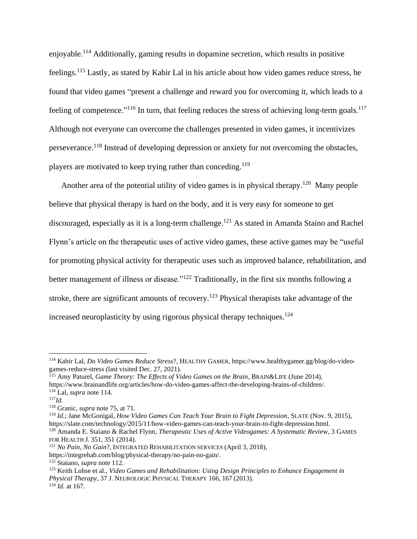enjoyable.<sup>114</sup> Additionally, gaming results in dopamine secretion, which results in positive feelings.<sup>115</sup> Lastly, as stated by Kabir Lal in his article about how video games reduce stress, he found that video games "present a challenge and reward you for overcoming it, which leads to a feeling of competence."<sup>116</sup> In turn, that feeling reduces the stress of achieving long-term goals.<sup>117</sup> Although not everyone can overcome the challenges presented in video games, it incentivizes perseverance.<sup>118</sup> Instead of developing depression or anxiety for not overcoming the obstacles, players are motivated to keep trying rather than conceding.<sup>119</sup>

Another area of the potential utility of video games is in physical therapy.<sup>120</sup> Many people believe that physical therapy is hard on the body, and it is very easy for someone to get discouraged, especially as it is a long-term challenge. <sup>121</sup> As stated in Amanda Staino and Rachel Flynn's article on the therapeutic uses of active video games, these active games may be "useful for promoting physical activity for therapeutic uses such as improved balance, rehabilitation, and better management of illness or disease."<sup>122</sup> Traditionally, in the first six months following a stroke, there are significant amounts of recovery.<sup>123</sup> Physical therapists take advantage of the increased neuroplasticity by using rigorous physical therapy techniques. 124

<sup>114</sup> Kabir Lal, *Do Video Games Reduce Stress*?, HEALTHY GAMER, https://www.healthygamer.gg/blog/do-videogames-reduce-stress (last visited Dec. 27, 2021).

<sup>115</sup> Amy Paturel, *Game Theory: The Effects of Video Games on the Brain*, BRAIN&LIFE (June 2014), https://www.brainandlife.org/articles/how-do-video-games-affect-the-developing-brains-of-children/. <sup>116</sup> Lal, *supra* note 114.

<sup>117</sup>*Id*.

<sup>118</sup> Granic, *supra* note 75, at 71.

<sup>119</sup> *Id.*; Jane McGonigal*, How Video Games Can Teach Your Brain to Fight Depression*, SLATE (Nov. 9, 2015), https://slate.com/technology/2015/11/how-video-games-can-teach-your-brain-to-fight-depression.html.

<sup>120</sup> Amanda E. Staiano & Rachel Flynn, *Therapeutic Uses of Active Videogames: A Systematic Revi*ew, 3 GAMES FOR HEALTH J. 351, 351 (2014).

<sup>121</sup> *No Pain, No Gain*?, INTEGRATED REHABILITATION SERVICES (April 3, 2018),

https://integrehab.com/blog/physical-therapy/no-pain-no-gain/.

<sup>122</sup> Staiano, *supra* note 112.

<sup>123</sup> Keith Lohse et al., *Video Games and Rehabilitation: Using Design Principles to Enhance Engagement in Physical Therapy*, 37 J. NEUROLOGIC PHYSICAL THERAPY 166, 167 (2013). <sup>124</sup> *Id.* at 167*.*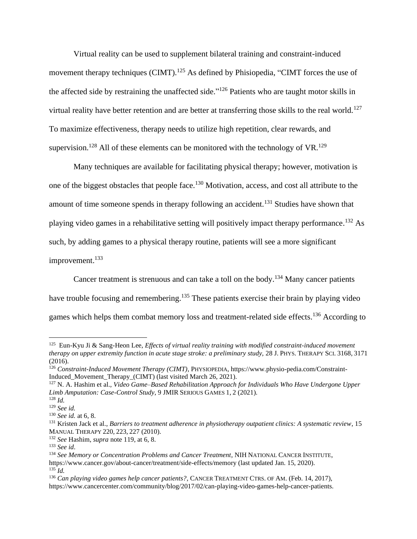Virtual reality can be used to supplement bilateral training and constraint-induced movement therapy techniques  $\text{(CIMT)}$ .<sup>125</sup> As defined by Phisiopedia, "CIMT forces the use of the affected side by restraining the unaffected side."<sup>126</sup> Patients who are taught motor skills in virtual reality have better retention and are better at transferring those skills to the real world.<sup>127</sup> To maximize effectiveness, therapy needs to utilize high repetition, clear rewards, and supervision.<sup>128</sup> All of these elements can be monitored with the technology of VR.<sup>129</sup>

Many techniques are available for facilitating physical therapy; however, motivation is one of the biggest obstacles that people face.<sup>130</sup> Motivation, access, and cost all attribute to the amount of time someone spends in therapy following an accident.<sup>131</sup> Studies have shown that playing video games in a rehabilitative setting will positively impact therapy performance.<sup>132</sup> As such, by adding games to a physical therapy routine, patients will see a more significant improvement.<sup>133</sup>

Cancer treatment is strenuous and can take a toll on the body.<sup>134</sup> Many cancer patients have trouble focusing and remembering.<sup>135</sup> These patients exercise their brain by playing video games which helps them combat memory loss and treatment-related side effects.<sup>136</sup> According to

<sup>&</sup>lt;sup>125</sup> Eun-Kyu Ji & Sang-Heon Lee, *Effects of virtual reality training with modified constraint-induced movement therapy on upper extremity function in acute stage stroke: a preliminary study,* 28 J. PHYS. THERAPY SCI. 3168, 3171 (2016).

<sup>126</sup> *Constraint-Induced Movement Therapy (CIMT)*, PHYSIOPEDIA, https://www.physio-pedia.com/Constraint-Induced Movement Therapy (CIMT) (last visited March 26, 2021).

<sup>127</sup> N. A. Hashim et al., *Video Game–Based Rehabilitation Approach for Individuals Who Have Undergone Upper Limb Amputation: Case-Control Study*, 9 JMIR SERIOUS GAMES 1, 2 (2021).

<sup>128</sup> *Id.* 

<sup>129</sup> *See id.*

<sup>130</sup> *See id.* at 6, 8.

<sup>131</sup> Kristen Jack et al., *Barriers to treatment adherence in physiotherapy outpatient clinics: A systematic review*, 15 MANUAL THERAPY 220, 223, 227 (2010).

<sup>132</sup> *See* Hashim, *supra* note 119, at 6, 8.

<sup>133</sup> *See id*.

<sup>134</sup> *See Memory or Concentration Problems and Cancer Treatment*, NIH NATIONAL CANCER INSTITUTE, https://www.cancer.gov/about-cancer/treatment/side-effects/memory (last updated Jan. 15, 2020).  $135$  *Id.* 

<sup>136</sup> *Can playing video games help cancer patients?*, CANCER TREATMENT CTRS. OF AM. (Feb. 14, 2017), https://www.cancercenter.com/community/blog/2017/02/can-playing-video-games-help-cancer-patients.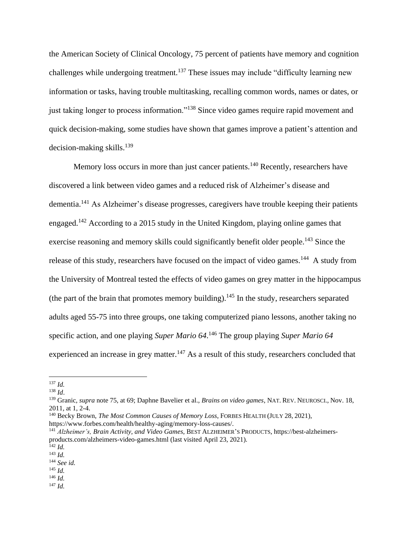the American Society of Clinical Oncology, 75 percent of patients have memory and cognition challenges while undergoing treatment.<sup>137</sup> These issues may include "difficulty learning new information or tasks, having trouble multitasking, recalling common words, names or dates, or just taking longer to process information."<sup>138</sup> Since video games require rapid movement and quick decision-making, some studies have shown that games improve a patient's attention and decision-making skills.<sup>139</sup>

Memory loss occurs in more than just cancer patients.<sup>140</sup> Recently, researchers have discovered a link between video games and a reduced risk of Alzheimer's disease and dementia.<sup>141</sup> As Alzheimer's disease progresses, caregivers have trouble keeping their patients engaged.<sup>142</sup> According to a 2015 study in the United Kingdom, playing online games that exercise reasoning and memory skills could significantly benefit older people.<sup>143</sup> Since the release of this study, researchers have focused on the impact of video games.<sup>144</sup> A study from the University of Montreal tested the effects of video games on grey matter in the hippocampus (the part of the brain that promotes memory building).<sup>145</sup> In the study, researchers separated adults aged 55-75 into three groups, one taking computerized piano lessons, another taking no specific action, and one playing *Super Mario 64*. <sup>146</sup> The group playing *Super Mario 64* experienced an increase in grey matter.<sup>147</sup> As a result of this study, researchers concluded that

<sup>139</sup> Granic, *supra* note 75, at 69; Daphne Bavelier et al., *Brains on video games*, NAT. REV. NEUROSCI., Nov. 18, 2011, at 1, 2-4.

<sup>137</sup> *Id.*

<sup>138</sup> *Id*.

<sup>140</sup> Becky Brown, *The Most Common Causes of Memory Loss*, FORBES HEALTH (JULY 28, 2021), https://www.forbes.com/health/healthy-aging/memory-loss-causes/.

<sup>141</sup> *Alzheimer's, Brain Activity, and Video Games*, BEST ALZHEIMER'S PRODUCTS, https://best-alzheimersproducts.com/alzheimers-video-games.html (last visited April 23, 2021).

 $142$  *Id.* 

<sup>143</sup> *Id.* 

<sup>144</sup> *See id.* 

<sup>145</sup> *Id.*  <sup>146</sup> *Id.*

 $^{147}$  *Id.*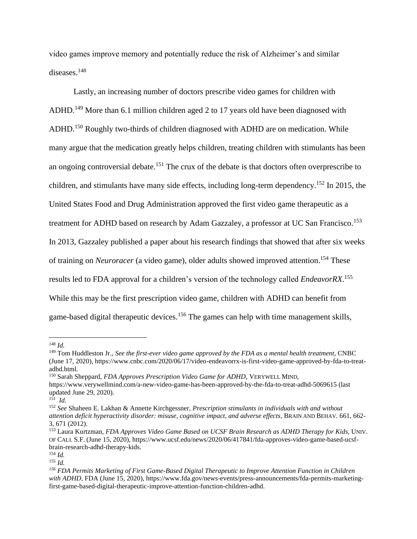video games improve memory and potentially reduce the risk of Alzheimer's and similar diseases.<sup>148</sup>

Lastly, an increasing number of doctors prescribe video games for children with ADHD.<sup>149</sup> More than 6.1 million children aged 2 to 17 years old have been diagnosed with ADHD.<sup>150</sup> Roughly two-thirds of children diagnosed with ADHD are on medication. While many argue that the medication greatly helps children, treating children with stimulants has been an ongoing controversial debate.<sup>151</sup> The crux of the debate is that doctors often overprescribe to children, and stimulants have many side effects, including long-term dependency. <sup>152</sup> In 2015, the United States Food and Drug Administration approved the first video game therapeutic as a treatment for ADHD based on research by Adam Gazzaley, a professor at UC San Francisco.<sup>153</sup> In 2013, Gazzaley published a paper about his research findings that showed that after six weeks of training on *Neuroracer* (a video game), older adults showed improved attention. <sup>154</sup> These results led to FDA approval for a children's version of the technology called *EndeavorRX*. 155 While this may be the first prescription video game, children with ADHD can benefit from game-based digital therapeutic devices.<sup>156</sup> The games can help with time management skills,

<sup>150</sup> Sarah Sheppard, *FDA Approves Prescription Video Game for ADHD*, VERYWELL MIND, https://www.verywellmind.com/a-new-video-game-has-been-approved-by-the-fda-to-treat-adhd-5069615 (last updated June 29, 2020).

<sup>148</sup> *Id.*

<sup>149</sup> Tom Huddleston Jr., *See the first-ever video game approved by the FDA as a mental health treatment*, CNBC (June 17, 2020), https://www.cnbc.com/2020/06/17/video-endeavorrx-is-first-video-game-approved-by-fda-to-treatadhd.html.

<sup>151</sup> *Id.*

<sup>152</sup> *See* Shaheen E. Lakhan & Annette Kirchgessner, *Prescription stimulants in individuals with and without attention deficit hyperactivity disorder: misuse, cognitive impact, and adverse effects*, BRAIN AND BEHAV. 661, 662- 3, 671 (2012).

<sup>153</sup> Laura Kurtzman, *FDA Approves Video Game Based on UCSF Brain Research as ADHD Therapy for Kids,* UNIV. OF CALI. S.F. (June 15, 2020), https://www.ucsf.edu/news/2020/06/417841/fda-approves-video-game-based-ucsfbrain-research-adhd-therapy-kids.

 $154$  *Id.* 

 $155$  *Id.* 

*<sup>156</sup> FDA Permits Marketing of First Game-Based Digital Therapeutic to Improve Attention Function in Children*  with ADHD, FDA (June 15, 2020), https://www.fda.gov/news-events/press-announcements/fda-permits-marketingfirst-game-based-digital-therapeutic-improve-attention-function-children-adhd.